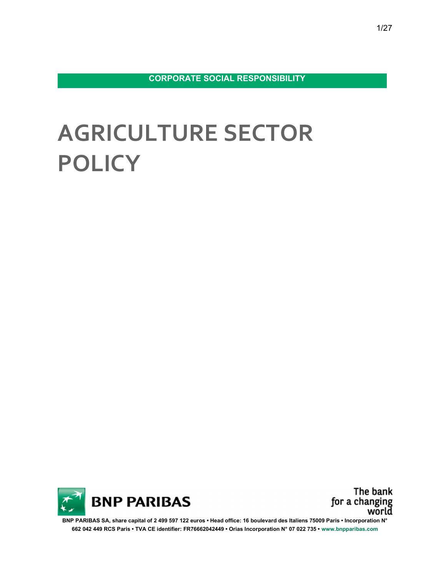CORPORATE SOCIAL RESPONSIBILITY

# AGRICULTURE SECTOR **POLICY**



The bank for a changing world

BNP PARIBAS SA, share capital of 2 499 597 122 euros • Head office: 16 boulevard des Italiens 75009 Paris • Incorporation N° 662 042 449 RCS Paris • TVA CE identifier: FR76662042449 • Orias Incorporation N° 07 022 735 • www.bnpparibas.com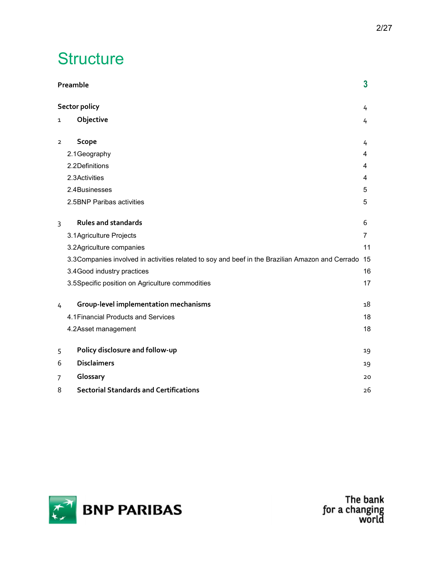## **Structure**

|                | Preamble                                                                                            | $\overline{\mathbf{3}}$ |
|----------------|-----------------------------------------------------------------------------------------------------|-------------------------|
|                | <b>Sector policy</b>                                                                                | 4                       |
| 1              | Objective                                                                                           | 4                       |
|                |                                                                                                     |                         |
| $\overline{2}$ | Scope                                                                                               | 4                       |
|                | 2.1Geography                                                                                        | 4                       |
|                | 2.2Definitions                                                                                      | 4                       |
|                | 2.3Activities                                                                                       | 4                       |
|                | 2.4Businesses                                                                                       | 5                       |
|                | 2.5BNP Paribas activities                                                                           | 5                       |
|                |                                                                                                     |                         |
| 3              | <b>Rules and standards</b>                                                                          | 6                       |
|                | 3.1 Agriculture Projects                                                                            | $\overline{7}$          |
|                | 3.2Agriculture companies                                                                            | 11                      |
|                | 3.3 Companies involved in activities related to soy and beef in the Brazilian Amazon and Cerrado 15 |                         |
|                | 3.4 Good industry practices                                                                         | 16                      |
|                | 3.5Specific position on Agriculture commodities                                                     | 17                      |
|                |                                                                                                     |                         |
| $\overline{4}$ | Group-level implementation mechanisms                                                               | 18                      |
|                | 4.1 Financial Products and Services                                                                 | 18                      |
|                | 4.2Asset management                                                                                 | 18                      |
|                |                                                                                                     |                         |
| 5              | Policy disclosure and follow-up                                                                     | 19                      |
| 6              | <b>Disclaimers</b>                                                                                  | 19                      |
| $\overline{7}$ | Glossary                                                                                            | 20                      |
| 8              | <b>Sectorial Standards and Certifications</b>                                                       | 26                      |

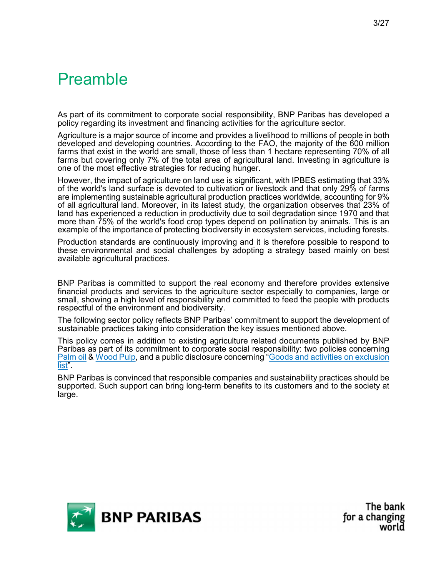## Preamble

As part of its commitment to corporate social responsibility, BNP Paribas has developed a policy regarding its investment and financing activities for the agriculture sector.

Agriculture is a major source of income and provides a livelihood to millions of people in both developed and developing countries. According to the FAO, the majority of the 600 million farms that exist in the world are small, those of less than 1 hectare representing 70% of all farms but covering only 7% of the total area of agricultural land. Investing in agriculture is one of the most effective strategies for reducing hunger.

However, the impact of agriculture on land use is significant, with IPBES estimating that 33% of the world's land surface is devoted to cultivation or livestock and that only 29% of farms are implementing sustainable agricultural production practices worldwide, accounting for 9% of all agricultural land. Moreover, in its latest study, the organization observes that 23% of land has experienced a reduction in productivity due to soil degradation since 1970 and that more than 75% of the world's food crop types depend on pollination by animals. This is an example of the importance of protecting biodiversity in ecosystem services, including forests.

Production standards are continuously improving and it is therefore possible to respond to these environmental and social challenges by adopting a strategy based mainly on best available agricultural practices.

BNP Paribas is committed to support the real economy and therefore provides extensive financial products and services to the agriculture sector especially to companies, large or small, showing a high level of responsibility and committed to feed the people with products respectful of the environment and biodiversity.

The following sector policy reflects BNP Paribas' commitment to support the development of sustainable practices taking into consideration the key issues mentioned above.

This policy comes in addition to existing agriculture related documents published by BNP Paribas as part of its commitment to corporate social responsibility: two policies concerning Palm oil & Wood Pulp, and a public disclosure concerning "Goods and activities on exclusion list<sup>"</sup>.

BNP Paribas is convinced that responsible companies and sustainability practices should be supported. Such support can bring long-term benefits to its customers and to the society at large.

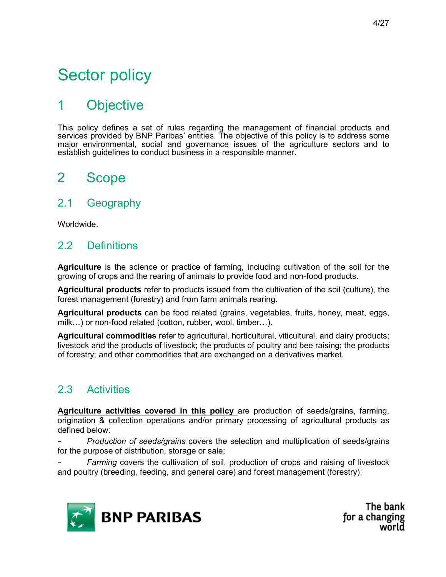## Sector policy

## 1 Objective

This policy defines a set of rules regarding the management of financial products and services provided by BNP Paribas' entities. The objective of this policy is to address some major environmental, social and governance issues of the agriculture sectors and to establish guidelines to conduct business in a responsible manner.

## 2 Scope

### 2.1 Geography

Worldwide.

## 2.2 Definitions

Agriculture is the science or practice of farming, including cultivation of the soil for the growing of crops and the rearing of animals to provide food and non-food products.

Agricultural products refer to products issued from the cultivation of the soil (culture), the forest management (forestry) and from farm animals rearing.

Agricultural products can be food related (grains, vegetables, fruits, honey, meat, eggs, milk…) or non-food related (cotton, rubber, wool, timber…).

Agricultural commodities refer to agricultural, horticultural, viticultural, and dairy products; livestock and the products of livestock; the products of poultry and bee raising; the products of forestry; and other commodities that are exchanged on a derivatives market.

### 2.3 Activities

Agriculture activities covered in this policy are production of seeds/grains, farming, origination & collection operations and/or primary processing of agricultural products as defined below:

Production of seeds/grains covers the selection and multiplication of seeds/grains for the purpose of distribution, storage or sale;

Farming covers the cultivation of soil, production of crops and raising of livestock and poultry (breeding, feeding, and general care) and forest management (forestry);

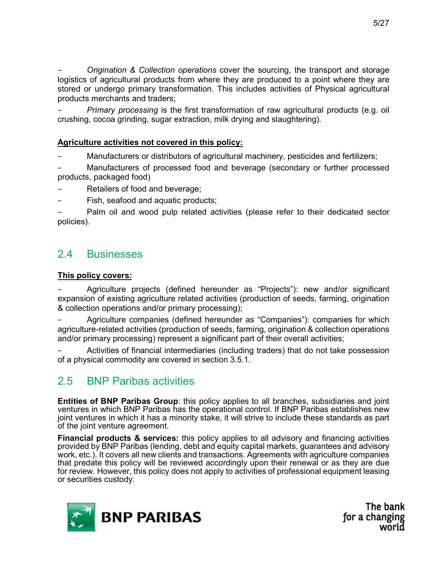Origination & Collection operations cover the sourcing, the transport and storage logistics of agricultural products from where they are produced to a point where they are stored or undergo primary transformation. This includes activities of Physical agricultural products merchants and traders;

*Primary processing* is the first transformation of raw agricultural products (e.g. oil crushing, cocoa grinding, sugar extraction, milk drying and slaughtering).

#### Agriculture activities not covered in this policy:

Manufacturers or distributors of agricultural machinery, pesticides and fertilizers;

Manufacturers of processed food and beverage (secondary or further processed products, packaged food)

- Retailers of food and beverage;
- Fish, seafood and aquatic products;

Palm oil and wood pulp related activities (please refer to their dedicated sector policies).

### 2.4 Businesses

#### This policy covers:

− Agriculture projects (defined hereunder as "Projects"): new and/or significant expansion of existing agriculture related activities (production of seeds, farming, origination & collection operations and/or primary processing);

− Agriculture companies (defined hereunder as "Companies"): companies for which agriculture-related activities (production of seeds, farming, origination & collection operations and/or primary processing) represent a significant part of their overall activities;

− Activities of financial intermediaries (including traders) that do not take possession of a physical commodity are covered in section 3.5.1.

## 2.5 BNP Paribas activities

Entities of BNP Paribas Group: this policy applies to all branches, subsidiaries and joint ventures in which BNP Paribas has the operational control. If BNP Paribas establishes new joint ventures in which it has a minority stake, it will strive to include these standards as part of the joint venture agreement.

**Financial products & services:** this policy applies to all advisory and financing activities provided by BNP Paribas (lending, debt and equity capital markets, guarantees and advisory work, etc.). It covers all new clients and transactions. Agreements with agriculture companies that predate this policy will be reviewed accordingly upon their renewal or as they are due for review. However, this policy does not apply to activities of professional equipment leasing or securities custody.

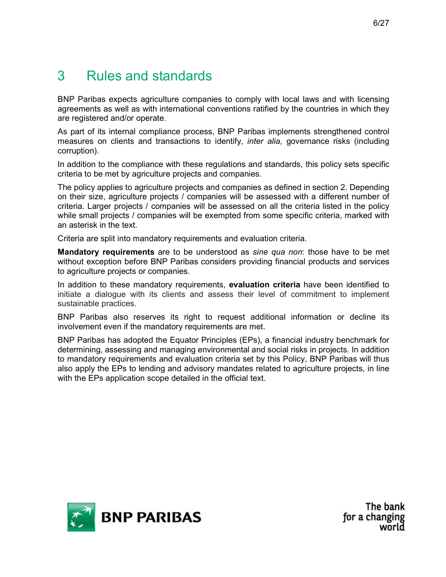## 3 Rules and standards

BNP Paribas expects agriculture companies to comply with local laws and with licensing agreements as well as with international conventions ratified by the countries in which they are registered and/or operate.

As part of its internal compliance process, BNP Paribas implements strengthened control measures on clients and transactions to identify, *inter alia*, governance risks (including corruption).

In addition to the compliance with these regulations and standards, this policy sets specific criteria to be met by agriculture projects and companies.

The policy applies to agriculture projects and companies as defined in section 2. Depending on their size, agriculture projects / companies will be assessed with a different number of criteria. Larger projects / companies will be assessed on all the criteria listed in the policy while small projects / companies will be exempted from some specific criteria, marked with an asterisk in the text.

Criteria are split into mandatory requirements and evaluation criteria.

**Mandatory requirements** are to be understood as sine qua non: those have to be met without exception before BNP Paribas considers providing financial products and services to agriculture projects or companies.

In addition to these mandatory requirements, **evaluation criteria** have been identified to initiate a dialogue with its clients and assess their level of commitment to implement sustainable practices.

BNP Paribas also reserves its right to request additional information or decline its involvement even if the mandatory requirements are met.

BNP Paribas has adopted the Equator Principles (EPs), a financial industry benchmark for determining, assessing and managing environmental and social risks in projects. In addition to mandatory requirements and evaluation criteria set by this Policy, BNP Paribas will thus also apply the EPs to lending and advisory mandates related to agriculture projects, in line with the EPs application scope detailed in the official text.

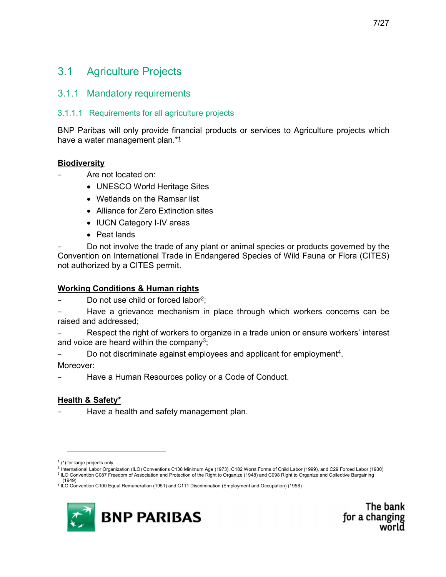## 3.1 Agriculture Projects

#### 3.1.1 Mandatory requirements

#### 3.1.1.1 Requirements for all agriculture projects

BNP Paribas will only provide financial products or services to Agriculture projects which have a water management plan.\*<sup>1</sup>

#### **Biodiversity**

- − Are not located on:
	- UNESCO World Heritage Sites
	- Wetlands on the Ramsar list
	- Alliance for Zero Extinction sites
	- IUCN Category I-IV areas
	- Peat lands

Do not involve the trade of any plant or animal species or products governed by the Convention on International Trade in Endangered Species of Wild Fauna or Flora (CITES) not authorized by a CITES permit.

#### Working Conditions & Human rights

Do not use child or forced labor<sup>2</sup>:

Have a grievance mechanism in place through which workers concerns can be raised and addressed;

Respect the right of workers to organize in a trade union or ensure workers' interest and voice are heard within the company<sup>3</sup>;

− Do not discriminate against employees and applicant for employment<sup>4</sup>.<br>Moreover:

Have a Human Resources policy or a Code of Conduct.

#### Health & Safety\*

Have a health and safety management plan.

<sup>(1949)</sup>  4 ILO Convention C100 Equal Remuneration (1951) and C111 Discrimination (Employment and Occupation) (1958)



The bank for a changing

 $<sup>1</sup>$  (\*) for large projects only</sup>

<sup>2</sup> International Labor Organization (ILO) Conventions C138 Minimum Age (1973), C182 Worst Forms of Child Labor (1999), and C29 Forced Labor (1930) <sup>3</sup> ILO Convention C087 Freedom of Association and Protection of the Right to Organize (1948) and C098 Right to Organize and Collective Bargaining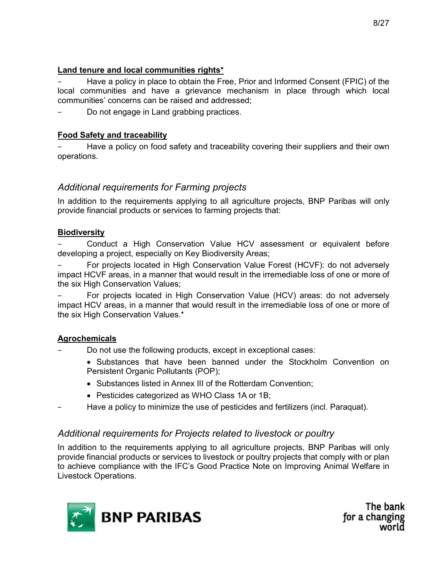#### Land tenure and local communities rights\*

− Have a policy in place to obtain the Free, Prior and Informed Consent (FPIC) of the local communities and have a grievance mechanism in place through which local communities' concerns can be raised and addressed;

Do not engage in Land grabbing practices.

#### Food Safety and traceability

Have a policy on food safety and traceability covering their suppliers and their own operations.

#### Additional requirements for Farming projects

In addition to the requirements applying to all agriculture projects, BNP Paribas will only provide financial products or services to farming projects that:

#### **Biodiversity**

Conduct a High Conservation Value HCV assessment or equivalent before developing a project, especially on Key Biodiversity Areas;

− For projects located in High Conservation Value Forest (HCVF): do not adversely impact HCVF areas, in a manner that would result in the irremediable loss of one or more of the six High Conservation Values;

For projects located in High Conservation Value (HCV) areas: do not adversely impact HCV areas, in a manner that would result in the irremediable loss of one or more of the six High Conservation Values.\*

#### Agrochemicals

Do not use the following products, except in exceptional cases:

- Substances that have been banned under the Stockholm Convention on Persistent Organic Pollutants (POP);
- Substances listed in Annex III of the Rotterdam Convention;
- Pesticides categorized as WHO Class 1A or 1B;
- − Have a policy to minimize the use of pesticides and fertilizers (incl. Paraquat).

#### Additional requirements for Projects related to livestock or poultry

In addition to the requirements applying to all agriculture projects, BNP Paribas will only provide financial products or services to livestock or poultry projects that comply with or plan to achieve compliance with the IFC's Good Practice Note on Improving Animal Welfare in Livestock Operations.

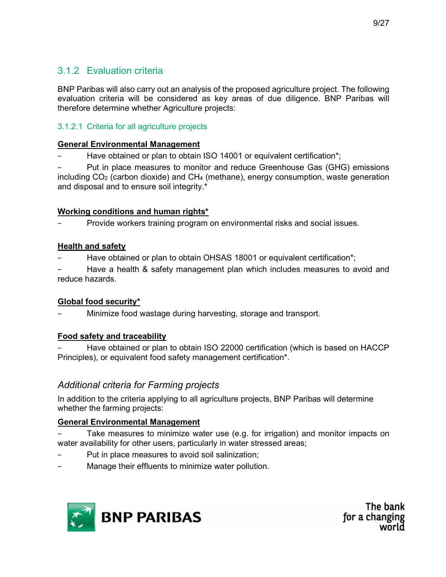### 3.1.2 Evaluation criteria

BNP Paribas will also carry out an analysis of the proposed agriculture project. The following evaluation criteria will be considered as key areas of due diligence. BNP Paribas will therefore determine whether Agriculture projects:

#### 3.1.2.1 Criteria for all agriculture projects

#### General Environmental Management

− Have obtained or plan to obtain ISO 14001 or equivalent certification\*;

Put in place measures to monitor and reduce Greenhouse Gas (GHG) emissions including  $CO<sub>2</sub>$  (carbon dioxide) and  $CH<sub>4</sub>$  (methane), energy consumption, waste generation and disposal and to ensure soil integrity.\*

#### Working conditions and human rights\*

− Provide workers training program on environmental risks and social issues.

#### Health and safety

Have obtained or plan to obtain OHSAS 18001 or equivalent certification\*;

Have a health & safety management plan which includes measures to avoid and reduce hazards.

#### Global food security\*

− Minimize food wastage during harvesting, storage and transport.

#### Food safety and traceability

Have obtained or plan to obtain ISO 22000 certification (which is based on HACCP Principles), or equivalent food safety management certification\*.

#### Additional criteria for Farming projects

In addition to the criteria applying to all agriculture projects, BNP Paribas will determine whether the farming projects:

#### General Environmental Management

Take measures to minimize water use (e.g. for irrigation) and monitor impacts on water availability for other users, particularly in water stressed areas;

- Put in place measures to avoid soil salinization;
- Manage their effluents to minimize water pollution.

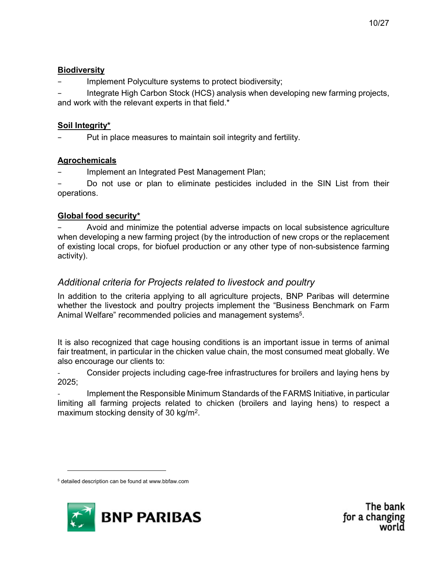Implement Polyculture systems to protect biodiversity;

Integrate High Carbon Stock (HCS) analysis when developing new farming projects, and work with the relevant experts in that field.\*

#### Soil Integrity\*

Put in place measures to maintain soil integrity and fertility.

#### **Agrochemicals**

− Implement an Integrated Pest Management Plan;

Do not use or plan to eliminate pesticides included in the SIN List from their operations.

#### Global food security\*

− Avoid and minimize the potential adverse impacts on local subsistence agriculture when developing a new farming project (by the introduction of new crops or the replacement of existing local crops, for biofuel production or any other type of non-subsistence farming activity).

#### Additional criteria for Projects related to livestock and poultry

In addition to the criteria applying to all agriculture projects, BNP Paribas will determine whether the livestock and poultry projects implement the "Business Benchmark on Farm Animal Welfare" recommended policies and management systems<sup>5</sup>.

It is also recognized that cage housing conditions is an important issue in terms of animal fair treatment, in particular in the chicken value chain, the most consumed meat globally. We also encourage our clients to:

Consider projects including cage-free infrastructures for broilers and laying hens by 2025;

- Implement the Responsible Minimum Standards of the FARMS Initiative, in particular limiting all farming projects related to chicken (broilers and laying hens) to respect a maximum stocking density of 30 kg/m<sup>2</sup>.



The bank for a changing

<sup>5</sup> detailed description can be found at www.bbfaw.com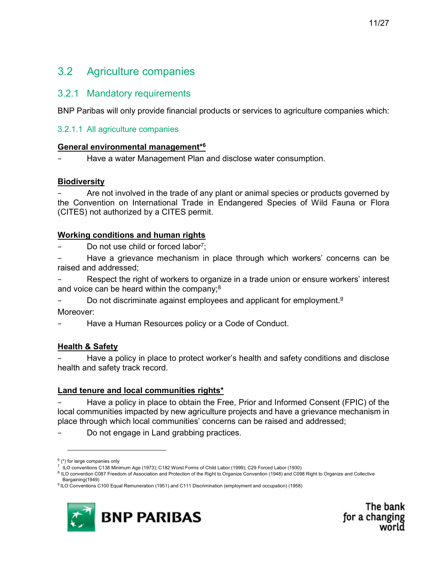## 3.2 Agriculture companies

#### 3.2.1 Mandatory requirements

BNP Paribas will only provide financial products or services to agriculture companies which:

#### 3.2.1.1 All agriculture companies

#### General environmental management\*<sup>6</sup>

Have a water Management Plan and disclose water consumption.

#### **Biodiversity**

Are not involved in the trade of any plant or animal species or products governed by the Convention on International Trade in Endangered Species of Wild Fauna or Flora (CITES) not authorized by a CITES permit.

#### Working conditions and human rights

Do not use child or forced labor<sup>7</sup>;

− Have a grievance mechanism in place through which workers' concerns can be raised and addressed;

Respect the right of workers to organize in a trade union or ensure workers' interest and voice can be heard within the company;<sup>8</sup>

− Do not discriminate against employees and applicant for employment.<sup>9</sup><br>Moreover:

Have a Human Resources policy or a Code of Conduct.

#### Health & Safety

Have a policy in place to protect worker's health and safety conditions and disclose health and safety track record.

#### Land tenure and local communities rights\*

− Have a policy in place to obtain the Free, Prior and Informed Consent (FPIC) of the local communities impacted by new agriculture projects and have a grievance mechanism in place through which local communities' concerns can be raised and addressed;

Do not engage in Land grabbing practices.

<sup>&</sup>lt;sup>9</sup> ILO Conventions C100 Equal Remuneration (1951) and C111 Discrimination (employment and occupation) (1958)



The bank for a changing

 $<sup>6</sup>$  (\*) for large companies only</sup>

<sup>7</sup> ILO conventions C138 Minimum Age (1973); C182 Worst Forms of Child Labor (1999); C29 Forced Labor (1930)

<sup>&</sup>lt;sup>8</sup> ILO convention C087 Freedom of Association and Protection of the Right to Organize Convention (1948) and C098 Right to Organize and Collective Bargaining(1949)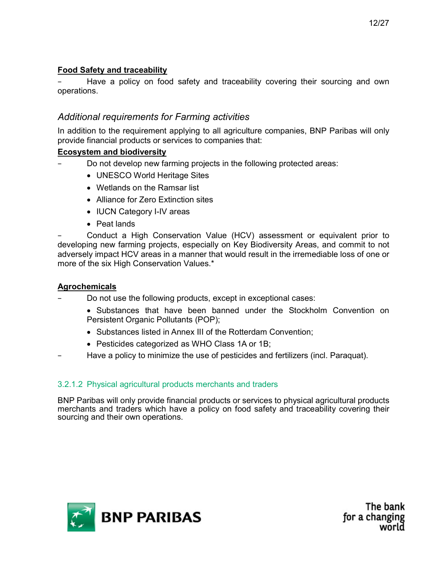#### Food Safety and traceability

Have a policy on food safety and traceability covering their sourcing and own operations.

#### Additional requirements for Farming activities

In addition to the requirement applying to all agriculture companies, BNP Paribas will only provide financial products or services to companies that:

#### Ecosystem and biodiversity

- Do not develop new farming projects in the following protected areas:
	- UNESCO World Heritage Sites
	- Wetlands on the Ramsar list
	- Alliance for Zero Extinction sites
	- IUCN Category I-IV areas
	- Peat lands

Conduct a High Conservation Value (HCV) assessment or equivalent prior to developing new farming projects, especially on Key Biodiversity Areas, and commit to not adversely impact HCV areas in a manner that would result in the irremediable loss of one or more of the six High Conservation Values.\*

#### **Agrochemicals**

- Do not use the following products, except in exceptional cases:
	- Substances that have been banned under the Stockholm Convention on Persistent Organic Pollutants (POP);
	- Substances listed in Annex III of the Rotterdam Convention;
	- Pesticides categorized as WHO Class 1A or 1B;
- − Have a policy to minimize the use of pesticides and fertilizers (incl. Paraquat).

#### 3.2.1.2 Physical agricultural products merchants and traders

BNP Paribas will only provide financial products or services to physical agricultural products merchants and traders which have a policy on food safety and traceability covering their sourcing and their own operations.

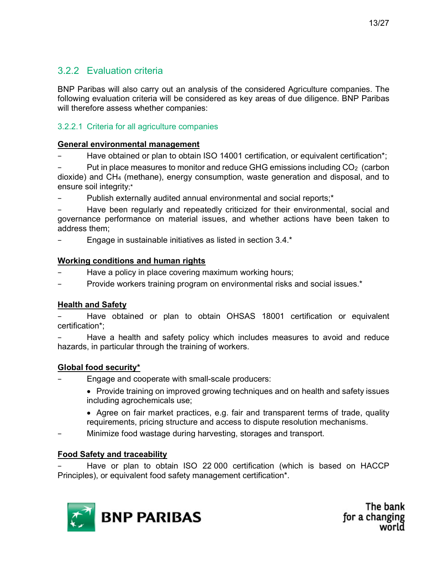### 3.2.2 Evaluation criteria

BNP Paribas will also carry out an analysis of the considered Agriculture companies. The following evaluation criteria will be considered as key areas of due diligence. BNP Paribas will therefore assess whether companies:

#### 3.2.2.1 Criteria for all agriculture companies

#### General environmental management

− Have obtained or plan to obtain ISO 14001 certification, or equivalent certification\*;

Put in place measures to monitor and reduce GHG emissions including CO<sub>2</sub> (carbon dioxide) and CH4 (methane), energy consumption, waste generation and disposal, and to ensure soil integrity;\*

Publish externally audited annual environmental and social reports;<sup>\*</sup>

Have been regularly and repeatedly criticized for their environmental, social and governance performance on material issues, and whether actions have been taken to address them;

− Engage in sustainable initiatives as listed in section 3.4.\*

#### Working conditions and human rights

- Have a policy in place covering maximum working hours;
- Provide workers training program on environmental risks and social issues.<sup>\*</sup>

#### Health and Safety

Have obtained or plan to obtain OHSAS 18001 certification or equivalent certification\*;

Have a health and safety policy which includes measures to avoid and reduce hazards, in particular through the training of workers.

#### Global food security\*

− Engage and cooperate with small-scale producers:

- Provide training on improved growing techniques and on health and safety issues including agrochemicals use;
- Agree on fair market practices, e.g. fair and transparent terms of trade, quality requirements, pricing structure and access to dispute resolution mechanisms.
- − Minimize food wastage during harvesting, storages and transport.

#### Food Safety and traceability

− Have or plan to obtain ISO 22 000 certification (which is based on HACCP Principles), or equivalent food safety management certification\*.

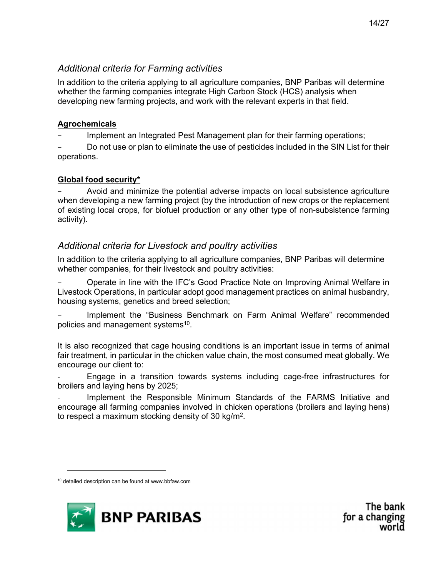#### Additional criteria for Farming activities

In addition to the criteria applying to all agriculture companies, BNP Paribas will determine whether the farming companies integrate High Carbon Stock (HCS) analysis when developing new farming projects, and work with the relevant experts in that field.

#### **Agrochemicals**

Implement an Integrated Pest Management plan for their farming operations;

Do not use or plan to eliminate the use of pesticides included in the SIN List for their operations.

#### Global food security\*

− Avoid and minimize the potential adverse impacts on local subsistence agriculture when developing a new farming project (by the introduction of new crops or the replacement of existing local crops, for biofuel production or any other type of non-subsistence farming activity).

### Additional criteria for Livestock and poultry activities

In addition to the criteria applying to all agriculture companies, BNP Paribas will determine whether companies, for their livestock and poultry activities:

− Operate in line with the IFC's Good Practice Note on Improving Animal Welfare in Livestock Operations, in particular adopt good management practices on animal husbandry, housing systems, genetics and breed selection;

Implement the "Business Benchmark on Farm Animal Welfare" recommended policies and management systems<sup>10</sup>.

It is also recognized that cage housing conditions is an important issue in terms of animal fair treatment, in particular in the chicken value chain, the most consumed meat globally. We encourage our client to:

Engage in a transition towards systems including cage-free infrastructures for broilers and laying hens by 2025;

Implement the Responsible Minimum Standards of the FARMS Initiative and encourage all farming companies involved in chicken operations (broilers and laying hens) to respect a maximum stocking density of 30 kg/m<sup>2</sup>.



The bank for a changing

<sup>&</sup>lt;sup>10</sup> detailed description can be found at www.bbfaw.com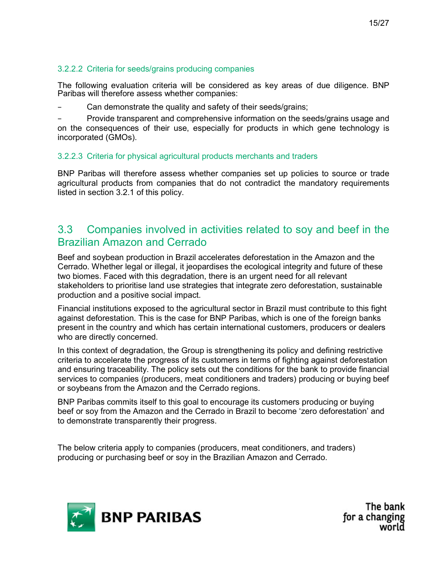#### 3.2.2.2 Criteria for seeds/grains producing companies

The following evaluation criteria will be considered as key areas of due diligence. BNP Paribas will therefore assess whether companies:

Can demonstrate the quality and safety of their seeds/grains;

− Provide transparent and comprehensive information on the seeds/grains usage and on the consequences of their use, especially for products in which gene technology is incorporated (GMOs).

#### 3.2.2.3 Criteria for physical agricultural products merchants and traders

BNP Paribas will therefore assess whether companies set up policies to source or trade agricultural products from companies that do not contradict the mandatory requirements listed in section 3.2.1 of this policy.

### 3.3 Companies involved in activities related to soy and beef in the Brazilian Amazon and Cerrado

Beef and soybean production in Brazil accelerates deforestation in the Amazon and the Cerrado. Whether legal or illegal, it jeopardises the ecological integrity and future of these two biomes. Faced with this degradation, there is an urgent need for all relevant stakeholders to prioritise land use strategies that integrate zero deforestation, sustainable production and a positive social impact.

Financial institutions exposed to the agricultural sector in Brazil must contribute to this fight against deforestation. This is the case for BNP Paribas, which is one of the foreign banks present in the country and which has certain international customers, producers or dealers who are directly concerned.

In this context of degradation, the Group is strengthening its policy and defining restrictive criteria to accelerate the progress of its customers in terms of fighting against deforestation and ensuring traceability. The policy sets out the conditions for the bank to provide financial services to companies (producers, meat conditioners and traders) producing or buying beef or soybeans from the Amazon and the Cerrado regions.

BNP Paribas commits itself to this goal to encourage its customers producing or buying beef or soy from the Amazon and the Cerrado in Brazil to become 'zero deforestation' and to demonstrate transparently their progress.

The below criteria apply to companies (producers, meat conditioners, and traders) producing or purchasing beef or soy in the Brazilian Amazon and Cerrado.

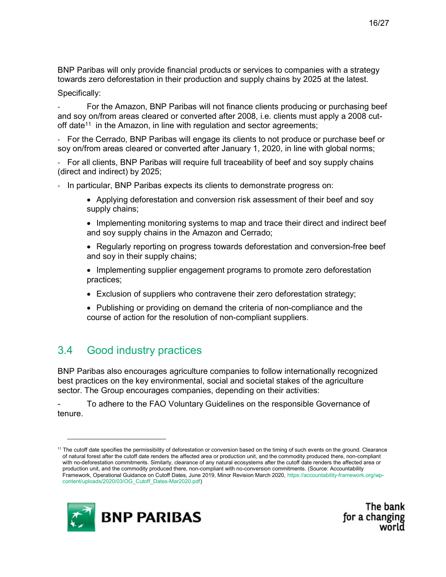BNP Paribas will only provide financial products or services to companies with a strategy towards zero deforestation in their production and supply chains by 2025 at the latest.

Specifically:

For the Amazon, BNP Paribas will not finance clients producing or purchasing beef and soy on/from areas cleared or converted after 2008, i.e. clients must apply a 2008 cutoff date<sup>11</sup> in the Amazon, in line with regulation and sector agreements;

- For the Cerrado, BNP Paribas will engage its clients to not produce or purchase beef or soy on/from areas cleared or converted after January 1, 2020, in line with global norms;

- For all clients, BNP Paribas will require full traceability of beef and soy supply chains (direct and indirect) by 2025;

- In particular, BNP Paribas expects its clients to demonstrate progress on:
	- Applying deforestation and conversion risk assessment of their beef and soy supply chains;
	- Implementing monitoring systems to map and trace their direct and indirect beef and soy supply chains in the Amazon and Cerrado;
	- Regularly reporting on progress towards deforestation and conversion-free beef and soy in their supply chains;
	- Implementing supplier engagement programs to promote zero deforestation practices;
	- Exclusion of suppliers who contravene their zero deforestation strategy;
	- Publishing or providing on demand the criteria of non-compliance and the course of action for the resolution of non-compliant suppliers.

## 3.4 Good industry practices

BNP Paribas also encourages agriculture companies to follow internationally recognized best practices on the key environmental, social and societal stakes of the agriculture sector. The Group encourages companies, depending on their activities:

To adhere to the FAO Voluntary Guidelines on the responsible Governance of tenure.

<sup>&</sup>lt;sup>11</sup> The cutoff date specifies the permissibility of deforestation or conversion based on the timing of such events on the ground. Clearance of natural forest after the cutoff date renders the affected area or production unit, and the commodity produced there, non-compliant with no-deforestation commitments. Similarly, clearance of any natural ecosystems after the cutoff date renders the affected area or production unit, and the commodity produced there, non-compliant with no-conversion commitments. (Source: Accountability Framework, Operational Guidance on Cutoff Dates, June 2019, Minor Revision March 2020, https://accountability-framework.org/wpcontent/uploads/2020/03/OG\_Cutoff\_Dates-Mar2020.pdf)



The bank for a changing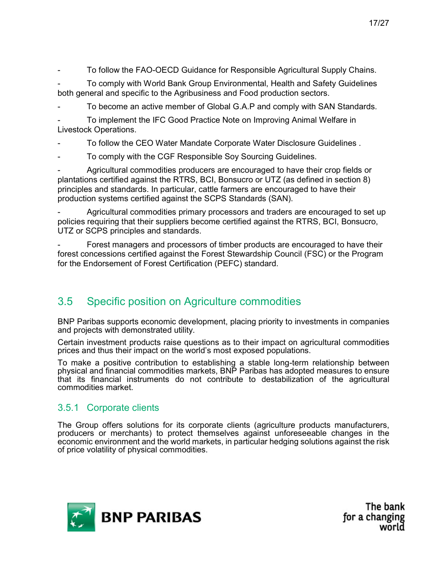- To follow the FAO-OECD Guidance for Responsible Agricultural Supply Chains.

- To comply with World Bank Group Environmental, Health and Safety Guidelines both general and specific to the Agribusiness and Food production sectors.

To become an active member of Global G.A.P and comply with SAN Standards.

To implement the IFC Good Practice Note on Improving Animal Welfare in Livestock Operations.

- To follow the CEO Water Mandate Corporate Water Disclosure Guidelines .
- To comply with the CGF Responsible Soy Sourcing Guidelines.

Agricultural commodities producers are encouraged to have their crop fields or plantations certified against the RTRS, BCI, Bonsucro or UTZ (as defined in section 8) principles and standards. In particular, cattle farmers are encouraged to have their production systems certified against the SCPS Standards (SAN).

Agricultural commodities primary processors and traders are encouraged to set up policies requiring that their suppliers become certified against the RTRS, BCI, Bonsucro, UTZ or SCPS principles and standards.

Forest managers and processors of timber products are encouraged to have their forest concessions certified against the Forest Stewardship Council (FSC) or the Program for the Endorsement of Forest Certification (PEFC) standard.

### 3.5 Specific position on Agriculture commodities

BNP Paribas supports economic development, placing priority to investments in companies and projects with demonstrated utility.

Certain investment products raise questions as to their impact on agricultural commodities prices and thus their impact on the world's most exposed populations.

To make a positive contribution to establishing a stable long-term relationship between physical and financial commodities markets, BNP Paribas has adopted measures to ensure that its financial instruments do not contribute to destabilization of the agricultural commodities market.

#### 3.5.1 Corporate clients

The Group offers solutions for its corporate clients (agriculture products manufacturers, producers or merchants) to protect themselves against unforeseeable changes in the economic environment and the world markets, in particular hedging solutions against the risk of price volatility of physical commodities.

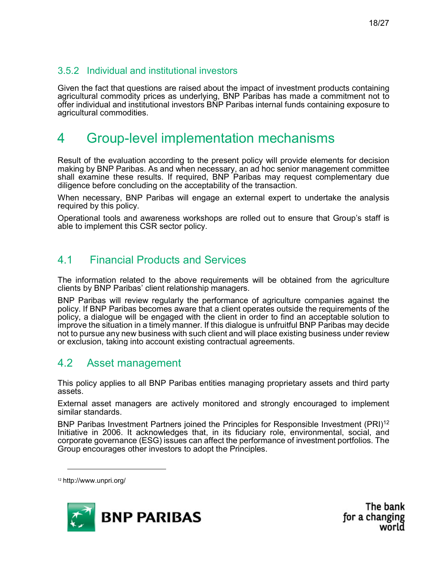#### 3.5.2 Individual and institutional investors

Given the fact that questions are raised about the impact of investment products containing agricultural commodity prices as underlying, BNP Paribas has made a commitment not to offer individual and institutional investors BNP Paribas internal funds containing exposure to agricultural commodities.

## 4 Group-level implementation mechanisms

Result of the evaluation according to the present policy will provide elements for decision making by BNP Paribas. As and when necessary, an ad hoc senior management committee shall examine these results. If required, BNP Paribas may request complementary due diligence before concluding on the acceptability of the transaction.

When necessary, BNP Paribas will engage an external expert to undertake the analysis required by this policy.

Operational tools and awareness workshops are rolled out to ensure that Group's staff is able to implement this CSR sector policy.

### 4.1 Financial Products and Services

The information related to the above requirements will be obtained from the agriculture clients by BNP Paribas' client relationship managers.

BNP Paribas will review regularly the performance of agriculture companies against the policy. If BNP Paribas becomes aware that a client operates outside the requirements of the policy, a dialogue will be engaged with the client in order to find an acceptable solution to improve the situation in a timely manner. If this dialogue is unfruitful BNP Paribas may decide not to pursue any new business with such client and will place existing business under review or exclusion, taking into account existing contractual agreements.

### 4.2 Asset management

This policy applies to all BNP Paribas entities managing proprietary assets and third party assets.

External asset managers are actively monitored and strongly encouraged to implement similar standards.

BNP Paribas Investment Partners joined the Principles for Responsible Investment (PRI)<sup>12</sup> Initiative in 2006. It acknowledges that, in its fiduciary role, environmental, social, and corporate governance (ESG) issues can affect the performance of investment portfolios. The Group encourages other investors to adopt the Principles.

<sup>12</sup> http://www.unpri.org/

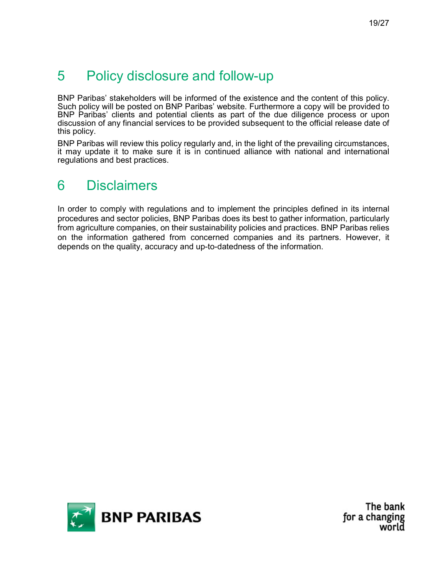## 5 Policy disclosure and follow-up

BNP Paribas' stakeholders will be informed of the existence and the content of this policy. Such policy will be posted on BNP Paribas' website. Furthermore a copy will be provided to BNP Paribas' clients and potential clients as part of the due diligence process or upon discussion of any financial services to be provided subsequent to the official release date of this policy.

BNP Paribas will review this policy regularly and, in the light of the prevailing circumstances, it may update it to make sure it is in continued alliance with national and international regulations and best practices.

## 6 Disclaimers

In order to comply with regulations and to implement the principles defined in its internal procedures and sector policies, BNP Paribas does its best to gather information, particularly from agriculture companies, on their sustainability policies and practices. BNP Paribas relies on the information gathered from concerned companies and its partners. However, it depends on the quality, accuracy and up-to-datedness of the information.

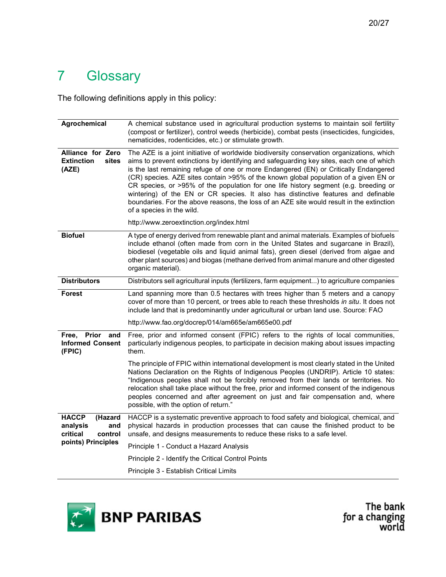## 7 Glossary

The following definitions apply in this policy:

| Agrochemical                                                      | A chemical substance used in agricultural production systems to maintain soil fertility<br>(compost or fertilizer), control weeds (herbicide), combat pests (insecticides, fungicides,<br>nematicides, rodenticides, etc.) or stimulate growth.                                                                                                                                                                                                                                                                                                                                                                                                                               |
|-------------------------------------------------------------------|-------------------------------------------------------------------------------------------------------------------------------------------------------------------------------------------------------------------------------------------------------------------------------------------------------------------------------------------------------------------------------------------------------------------------------------------------------------------------------------------------------------------------------------------------------------------------------------------------------------------------------------------------------------------------------|
| Alliance for Zero<br><b>Extinction</b><br>sites<br>(AZE)          | The AZE is a joint initiative of worldwide biodiversity conservation organizations, which<br>aims to prevent extinctions by identifying and safeguarding key sites, each one of which<br>is the last remaining refuge of one or more Endangered (EN) or Critically Endangered<br>(CR) species. AZE sites contain >95% of the known global population of a given EN or<br>CR species, or >95% of the population for one life history segment (e.g. breeding or<br>wintering) of the EN or CR species. It also has distinctive features and definable<br>boundaries. For the above reasons, the loss of an AZE site would result in the extinction<br>of a species in the wild. |
|                                                                   | http://www.zeroextinction.org/index.html                                                                                                                                                                                                                                                                                                                                                                                                                                                                                                                                                                                                                                      |
| <b>Biofuel</b>                                                    | A type of energy derived from renewable plant and animal materials. Examples of biofuels<br>include ethanol (often made from corn in the United States and sugarcane in Brazil),<br>biodiesel (vegetable oils and liquid animal fats), green diesel (derived from algae and<br>other plant sources) and biogas (methane derived from animal manure and other digested<br>organic material).                                                                                                                                                                                                                                                                                   |
| <b>Distributors</b>                                               | Distributors sell agricultural inputs (fertilizers, farm equipment) to agriculture companies                                                                                                                                                                                                                                                                                                                                                                                                                                                                                                                                                                                  |
| <b>Forest</b>                                                     | Land spanning more than 0.5 hectares with trees higher than 5 meters and a canopy<br>cover of more than 10 percent, or trees able to reach these thresholds in situ. It does not<br>include land that is predominantly under agricultural or urban land use. Source: FAO                                                                                                                                                                                                                                                                                                                                                                                                      |
|                                                                   | http://www.fao.org/docrep/014/am665e/am665e00.pdf                                                                                                                                                                                                                                                                                                                                                                                                                                                                                                                                                                                                                             |
| <b>Prior</b><br>Free,<br>and<br><b>Informed Consent</b><br>(FPIC) | Free, prior and informed consent (FPIC) refers to the rights of local communities,<br>particularly indigenous peoples, to participate in decision making about issues impacting<br>them.                                                                                                                                                                                                                                                                                                                                                                                                                                                                                      |
|                                                                   | The principle of FPIC within international development is most clearly stated in the United<br>Nations Declaration on the Rights of Indigenous Peoples (UNDRIP). Article 10 states:<br>"Indigenous peoples shall not be forcibly removed from their lands or territories. No<br>relocation shall take place without the free, prior and informed consent of the indigenous<br>peoples concerned and after agreement on just and fair compensation and, where<br>possible, with the option of return."                                                                                                                                                                         |
| <b>HACCP</b><br>(Hazard<br>analysis<br>and<br>critical<br>control | HACCP is a systematic preventive approach to food safety and biological, chemical, and<br>physical hazards in production processes that can cause the finished product to be<br>unsafe, and designs measurements to reduce these risks to a safe level.                                                                                                                                                                                                                                                                                                                                                                                                                       |
| points) Principles                                                | Principle 1 - Conduct a Hazard Analysis                                                                                                                                                                                                                                                                                                                                                                                                                                                                                                                                                                                                                                       |
|                                                                   | Principle 2 - Identify the Critical Control Points                                                                                                                                                                                                                                                                                                                                                                                                                                                                                                                                                                                                                            |
|                                                                   | Principle 3 - Establish Critical Limits                                                                                                                                                                                                                                                                                                                                                                                                                                                                                                                                                                                                                                       |

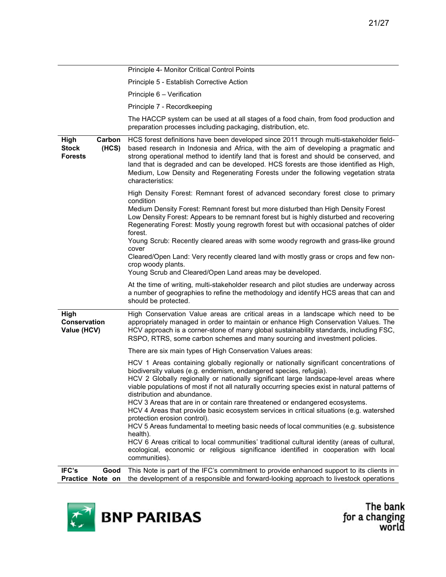|                                                           | Principle 4- Monitor Critical Control Points                                                                                                                                                                                                                                                                                                                                                                                                                              |
|-----------------------------------------------------------|---------------------------------------------------------------------------------------------------------------------------------------------------------------------------------------------------------------------------------------------------------------------------------------------------------------------------------------------------------------------------------------------------------------------------------------------------------------------------|
|                                                           | Principle 5 - Establish Corrective Action                                                                                                                                                                                                                                                                                                                                                                                                                                 |
|                                                           | Principle 6 - Verification                                                                                                                                                                                                                                                                                                                                                                                                                                                |
|                                                           | Principle 7 - Recordkeeping                                                                                                                                                                                                                                                                                                                                                                                                                                               |
|                                                           | The HACCP system can be used at all stages of a food chain, from food production and<br>preparation processes including packaging, distribution, etc.                                                                                                                                                                                                                                                                                                                     |
| High<br>Carbon<br><b>Stock</b><br>(HCS)<br><b>Forests</b> | HCS forest definitions have been developed since 2011 through multi-stakeholder field-<br>based research in Indonesia and Africa, with the aim of developing a pragmatic and<br>strong operational method to identify land that is forest and should be conserved, and<br>land that is degraded and can be developed. HCS forests are those identified as High,<br>Medium, Low Density and Regenerating Forests under the following vegetation strata<br>characteristics: |
|                                                           | High Density Forest: Remnant forest of advanced secondary forest close to primary                                                                                                                                                                                                                                                                                                                                                                                         |
|                                                           | condition<br>Medium Density Forest: Remnant forest but more disturbed than High Density Forest<br>Low Density Forest: Appears to be remnant forest but is highly disturbed and recovering<br>Regenerating Forest: Mostly young regrowth forest but with occasional patches of older<br>forest.                                                                                                                                                                            |
|                                                           | Young Scrub: Recently cleared areas with some woody regrowth and grass-like ground<br>cover                                                                                                                                                                                                                                                                                                                                                                               |
|                                                           | Cleared/Open Land: Very recently cleared land with mostly grass or crops and few non-<br>crop woody plants.                                                                                                                                                                                                                                                                                                                                                               |
|                                                           | Young Scrub and Cleared/Open Land areas may be developed.                                                                                                                                                                                                                                                                                                                                                                                                                 |
|                                                           | At the time of writing, multi-stakeholder research and pilot studies are underway across<br>a number of geographies to refine the methodology and identify HCS areas that can and<br>should be protected.                                                                                                                                                                                                                                                                 |
| High<br>Conservation<br>Value (HCV)                       | High Conservation Value areas are critical areas in a landscape which need to be<br>appropriately managed in order to maintain or enhance High Conservation Values. The<br>HCV approach is a corner-stone of many global sustainability standards, including FSC,<br>RSPO, RTRS, some carbon schemes and many sourcing and investment policies.                                                                                                                           |
|                                                           | There are six main types of High Conservation Values areas:                                                                                                                                                                                                                                                                                                                                                                                                               |
|                                                           | HCV 1 Areas containing globally regionally or nationally significant concentrations of<br>biodiversity values (e.g. endemism, endangered species, refugia).<br>HCV 2 Globally regionally or nationally significant large landscape-level areas where<br>viable populations of most if not all naturally occurring species exist in natural patterns of<br>distribution and abundance.                                                                                     |
|                                                           | HCV 3 Areas that are in or contain rare threatened or endangered ecosystems.<br>HCV 4 Areas that provide basic ecosystem services in critical situations (e.g. watershed<br>protection erosion control).                                                                                                                                                                                                                                                                  |
|                                                           | HCV 5 Areas fundamental to meeting basic needs of local communities (e.g. subsistence                                                                                                                                                                                                                                                                                                                                                                                     |
|                                                           | health).<br>HCV 6 Areas critical to local communities' traditional cultural identity (areas of cultural,<br>ecological, economic or religious significance identified in cooperation with local<br>communities).                                                                                                                                                                                                                                                          |
| IFC's<br>Good                                             | This Note is part of the IFC's commitment to provide enhanced support to its clients in                                                                                                                                                                                                                                                                                                                                                                                   |
| Practice Note on                                          | the development of a responsible and forward-looking approach to livestock operations                                                                                                                                                                                                                                                                                                                                                                                     |

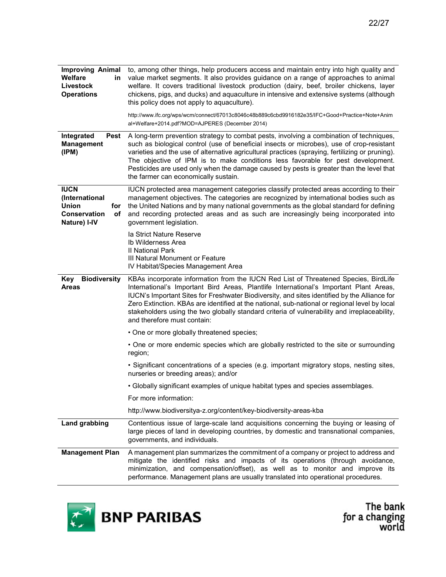| <b>Improving Animal</b><br><b>Welfare</b><br>in<br>Livestock<br><b>Operations</b>          | to, among other things, help producers access and maintain entry into high quality and<br>value market segments. It also provides guidance on a range of approaches to animal<br>welfare. It covers traditional livestock production (dairy, beef, broiler chickens, layer<br>chickens, pigs, and ducks) and aquaculture in intensive and extensive systems (although<br>this policy does not apply to aquaculture).<br>http://www.ifc.org/wps/wcm/connect/67013c8046c48b889c6cbd9916182e35/IFC+Good+Practice+Note+Anim<br>al+Welfare+2014.pdf?MOD=AJPERES (December 2014) |
|--------------------------------------------------------------------------------------------|----------------------------------------------------------------------------------------------------------------------------------------------------------------------------------------------------------------------------------------------------------------------------------------------------------------------------------------------------------------------------------------------------------------------------------------------------------------------------------------------------------------------------------------------------------------------------|
| Integrated<br>Pest<br><b>Management</b><br>(IPM)                                           | A long-term prevention strategy to combat pests, involving a combination of techniques,<br>such as biological control (use of beneficial insects or microbes), use of crop-resistant<br>varieties and the use of alternative agricultural practices (spraying, fertilizing or pruning).<br>The objective of IPM is to make conditions less favorable for pest development.<br>Pesticides are used only when the damage caused by pests is greater than the level that<br>the farmer can economically sustain.                                                              |
| <b>IUCN</b><br>(International<br><b>Union</b><br>for<br>Conservation<br>οf<br>Nature) I-IV | IUCN protected area management categories classify protected areas according to their<br>management objectives. The categories are recognized by international bodies such as<br>the United Nations and by many national governments as the global standard for defining<br>and recording protected areas and as such are increasingly being incorporated into<br>government legislation.                                                                                                                                                                                  |
|                                                                                            | la Strict Nature Reserve<br>Ib Wilderness Area<br><b>II National Park</b><br>III Natural Monument or Feature<br>IV Habitat/Species Management Area                                                                                                                                                                                                                                                                                                                                                                                                                         |
| <b>Biodiversity</b><br>Key<br><b>Areas</b>                                                 | KBAs incorporate information from the IUCN Red List of Threatened Species, BirdLife<br>International's Important Bird Areas, Plantlife International's Important Plant Areas,<br>IUCN's Important Sites for Freshwater Biodiversity, and sites identified by the Alliance for<br>Zero Extinction. KBAs are identified at the national, sub-national or regional level by local<br>stakeholders using the two globally standard criteria of vulnerability and irreplaceability,<br>and therefore must contain:                                                              |
|                                                                                            | • One or more globally threatened species;                                                                                                                                                                                                                                                                                                                                                                                                                                                                                                                                 |
|                                                                                            | • One or more endemic species which are globally restricted to the site or surrounding<br>region;                                                                                                                                                                                                                                                                                                                                                                                                                                                                          |
|                                                                                            | · Significant concentrations of a species (e.g. important migratory stops, nesting sites,<br>nurseries or breeding areas); and/or                                                                                                                                                                                                                                                                                                                                                                                                                                          |
|                                                                                            | • Globally significant examples of unique habitat types and species assemblages.                                                                                                                                                                                                                                                                                                                                                                                                                                                                                           |
|                                                                                            | For more information:                                                                                                                                                                                                                                                                                                                                                                                                                                                                                                                                                      |
|                                                                                            | http://www.biodiversitya-z.org/content/key-biodiversity-areas-kba                                                                                                                                                                                                                                                                                                                                                                                                                                                                                                          |
| <b>Land grabbing</b>                                                                       | Contentious issue of large-scale land acquisitions concerning the buying or leasing of<br>large pieces of land in developing countries, by domestic and transnational companies,<br>governments, and individuals.                                                                                                                                                                                                                                                                                                                                                          |
| <b>Management Plan</b>                                                                     | A management plan summarizes the commitment of a company or project to address and<br>mitigate the identified risks and impacts of its operations (through avoidance,<br>minimization, and compensation/offset), as well as to monitor and improve its<br>performance. Management plans are usually translated into operational procedures.                                                                                                                                                                                                                                |

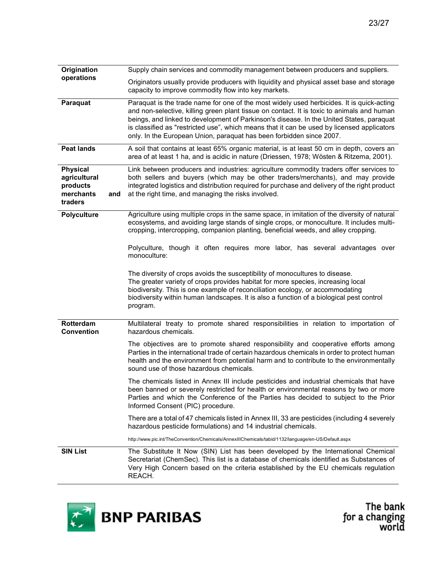| Origination                                                         |     | Supply chain services and commodity management between producers and suppliers.                                                                                                                                                                                                                                                                                                                                                                           |
|---------------------------------------------------------------------|-----|-----------------------------------------------------------------------------------------------------------------------------------------------------------------------------------------------------------------------------------------------------------------------------------------------------------------------------------------------------------------------------------------------------------------------------------------------------------|
| operations                                                          |     | Originators usually provide producers with liquidity and physical asset base and storage<br>capacity to improve commodity flow into key markets.                                                                                                                                                                                                                                                                                                          |
| Paraquat                                                            |     | Paraquat is the trade name for one of the most widely used herbicides. It is quick-acting<br>and non-selective, killing green plant tissue on contact. It is toxic to animals and human<br>beings, and linked to development of Parkinson's disease. In the United States, paraquat<br>is classified as "restricted use", which means that it can be used by licensed applicators<br>only. In the European Union, paraquat has been forbidden since 2007. |
| <b>Peat lands</b>                                                   |     | A soil that contains at least 65% organic material, is at least 50 cm in depth, covers an<br>area of at least 1 ha, and is acidic in nature (Driessen, 1978; Wösten & Ritzema, 2001).                                                                                                                                                                                                                                                                     |
| <b>Physical</b><br>agricultural<br>products<br>merchants<br>traders | and | Link between producers and industries: agriculture commodity traders offer services to<br>both sellers and buyers (which may be other traders/merchants), and may provide<br>integrated logistics and distribution required for purchase and delivery of the right product<br>at the right time, and managing the risks involved.                                                                                                                         |
| <b>Polyculture</b>                                                  |     | Agriculture using multiple crops in the same space, in imitation of the diversity of natural<br>ecosystems, and avoiding large stands of single crops, or monoculture. It includes multi-<br>cropping, intercropping, companion planting, beneficial weeds, and alley cropping.                                                                                                                                                                           |
|                                                                     |     | Polyculture, though it often requires more labor, has several advantages over<br>monoculture:                                                                                                                                                                                                                                                                                                                                                             |
|                                                                     |     | The diversity of crops avoids the susceptibility of monocultures to disease.<br>The greater variety of crops provides habitat for more species, increasing local<br>biodiversity. This is one example of reconciliation ecology, or accommodating<br>biodiversity within human landscapes. It is also a function of a biological pest control<br>program.                                                                                                 |
| Rotterdam<br><b>Convention</b>                                      |     | Multilateral treaty to promote shared responsibilities in relation to importation of<br>hazardous chemicals.                                                                                                                                                                                                                                                                                                                                              |
|                                                                     |     | The objectives are to promote shared responsibility and cooperative efforts among<br>Parties in the international trade of certain hazardous chemicals in order to protect human<br>health and the environment from potential harm and to contribute to the environmentally<br>sound use of those hazardous chemicals.                                                                                                                                    |
|                                                                     |     | The chemicals listed in Annex III include pesticides and industrial chemicals that have<br>been banned or severely restricted for health or environmental reasons by two or more<br>Parties and which the Conference of the Parties has decided to subject to the Prior<br>Informed Consent (PIC) procedure.                                                                                                                                              |
|                                                                     |     | There are a total of 47 chemicals listed in Annex III, 33 are pesticides (including 4 severely<br>hazardous pesticide formulations) and 14 industrial chemicals.                                                                                                                                                                                                                                                                                          |
|                                                                     |     | http://www.pic.int/TheConvention/Chemicals/AnnexIIIChemicals/tabid/1132/language/en-US/Default.aspx                                                                                                                                                                                                                                                                                                                                                       |
| <b>SIN List</b>                                                     |     | The Substitute It Now (SIN) List has been developed by the International Chemical<br>Secretariat (ChemSec). This list is a database of chemicals identified as Substances of<br>Very High Concern based on the criteria established by the EU chemicals regulation<br>REACH.                                                                                                                                                                              |

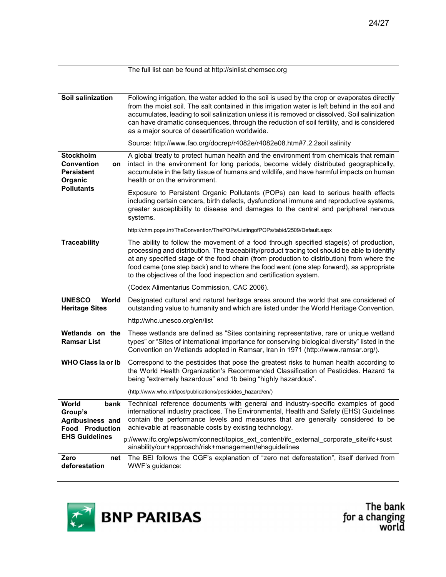|                                                                        | The full list can be found at http://sinlist.chemsec.org                                                                                                                                                                                                                                                                                                                                                                                              |
|------------------------------------------------------------------------|-------------------------------------------------------------------------------------------------------------------------------------------------------------------------------------------------------------------------------------------------------------------------------------------------------------------------------------------------------------------------------------------------------------------------------------------------------|
|                                                                        |                                                                                                                                                                                                                                                                                                                                                                                                                                                       |
| Soil salinization                                                      | Following irrigation, the water added to the soil is used by the crop or evaporates directly<br>from the moist soil. The salt contained in this irrigation water is left behind in the soil and<br>accumulates, leading to soil salinization unless it is removed or dissolved. Soil salinization<br>can have dramatic consequences, through the reduction of soil fertility, and is considered<br>as a major source of desertification worldwide.    |
|                                                                        | Source: http://www.fao.org/docrep/r4082e/r4082e08.htm#7.2.2soil salinity                                                                                                                                                                                                                                                                                                                                                                              |
| <b>Stockholm</b><br><b>Convention</b><br>on<br>Persistent<br>Organic   | A global treaty to protect human health and the environment from chemicals that remain<br>intact in the environment for long periods, become widely distributed geographically,<br>accumulate in the fatty tissue of humans and wildlife, and have harmful impacts on human<br>health or on the environment.                                                                                                                                          |
| <b>Pollutants</b>                                                      | Exposure to Persistent Organic Pollutants (POPs) can lead to serious health effects<br>including certain cancers, birth defects, dysfunctional immune and reproductive systems,<br>greater susceptibility to disease and damages to the central and peripheral nervous<br>systems.                                                                                                                                                                    |
|                                                                        | http://chm.pops.int/TheConvention/ThePOPs/ListingofPOPs/tabid/2509/Default.aspx                                                                                                                                                                                                                                                                                                                                                                       |
| <b>Traceability</b>                                                    | The ability to follow the movement of a food through specified stage(s) of production,<br>processing and distribution. The traceability/product tracing tool should be able to identify<br>at any specified stage of the food chain (from production to distribution) from where the<br>food came (one step back) and to where the food went (one step forward), as appropriate<br>to the objectives of the food inspection and certification system. |
|                                                                        | (Codex Alimentarius Commission, CAC 2006).                                                                                                                                                                                                                                                                                                                                                                                                            |
| <b>UNESCO</b><br>World<br><b>Heritage Sites</b>                        | Designated cultural and natural heritage areas around the world that are considered of<br>outstanding value to humanity and which are listed under the World Heritage Convention.                                                                                                                                                                                                                                                                     |
|                                                                        | http://whc.unesco.org/en/list                                                                                                                                                                                                                                                                                                                                                                                                                         |
| Wetlands on the<br><b>Ramsar List</b>                                  | These wetlands are defined as "Sites containing representative, rare or unique wetland<br>types" or "Sites of international importance for conserving biological diversity" listed in the<br>Convention on Wetlands adopted in Ramsar, Iran in 1971 (http://www.ramsar.org/).                                                                                                                                                                         |
| WHO Class la or lb                                                     | Correspond to the pesticides that pose the greatest risks to human health according to<br>the World Health Organization's Recommended Classification of Pesticides. Hazard 1a<br>being "extremely hazardous" and 1b being "highly hazardous".                                                                                                                                                                                                         |
|                                                                        | (http://www.who.int/ipcs/publications/pesticides_hazard/en/)                                                                                                                                                                                                                                                                                                                                                                                          |
| World<br>bank<br>Group's<br>Agribusiness and<br><b>Food Production</b> | Technical reference documents with general and industry-specific examples of good<br>international industry practices. The Environmental, Health and Safety (EHS) Guidelines<br>contain the performance levels and measures that are generally considered to be<br>achievable at reasonable costs by existing technology.                                                                                                                             |
| <b>EHS Guidelines</b>                                                  | p://www.ifc.org/wps/wcm/connect/topics_ext_content/ifc_external_corporate_site/ifc+sust<br>ainability/our+approach/risk+management/ehsguidelines                                                                                                                                                                                                                                                                                                      |
| Zero<br>net<br>deforestation                                           | The BEI follows the CGF's explanation of "zero net deforestation", itself derived from<br>WWF's guidance:                                                                                                                                                                                                                                                                                                                                             |

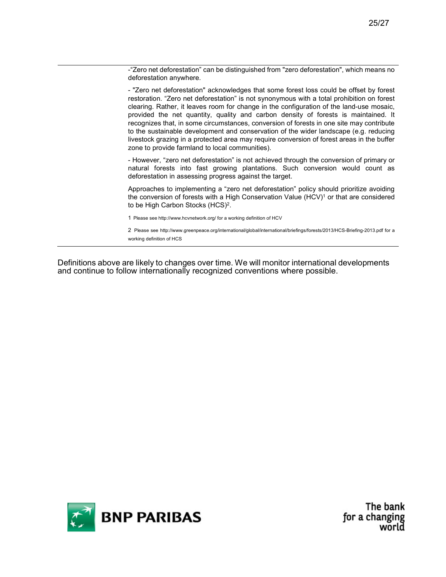-"Zero net deforestation" can be distinguished from "zero deforestation", which means no deforestation anywhere.

- "Zero net deforestation" acknowledges that some forest loss could be offset by forest restoration. "Zero net deforestation" is not synonymous with a total prohibition on forest clearing. Rather, it leaves room for change in the configuration of the land-use mosaic, provided the net quantity, quality and carbon density of forests is maintained. It recognizes that, in some circumstances, conversion of forests in one site may contribute to the sustainable development and conservation of the wider landscape (e.g. reducing livestock grazing in a protected area may require conversion of forest areas in the buffer zone to provide farmland to local communities).

- However, "zero net deforestation" is not achieved through the conversion of primary or natural forests into fast growing plantations. Such conversion would count as deforestation in assessing progress against the target.

Approaches to implementing a "zero net deforestation" policy should prioritize avoiding the conversion of forests with a High Conservation Value (HCV)<sup>1</sup> or that are considered to be High Carbon Stocks (HCS)<sup>2</sup>.

1 Please see http://www.hcvnetwork.org/ for a working definition of HCV

2 Please see http://www.greenpeace.org/international/global/international/briefings/forests/2013/HCS-Briefing-2013.pdf for a working definition of HCS

Definitions above are likely to changes over time. We will monitor international developments and continue to follow internationally recognized conventions where possible.

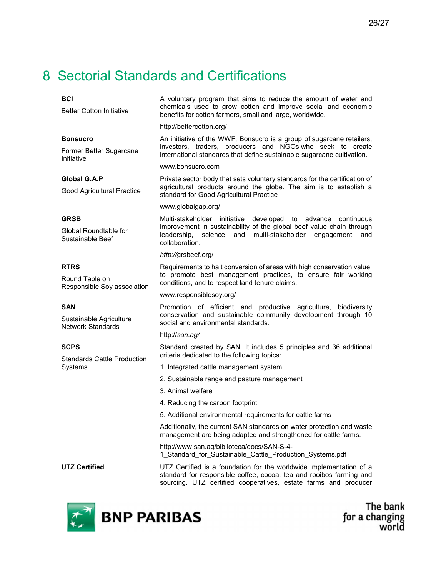## 8 Sectorial Standards and Certifications

| <b>BCI</b><br><b>Better Cotton Initiative</b>                     | A voluntary program that aims to reduce the amount of water and<br>chemicals used to grow cotton and improve social and economic<br>benefits for cotton farmers, small and large, worldwide.                  |
|-------------------------------------------------------------------|---------------------------------------------------------------------------------------------------------------------------------------------------------------------------------------------------------------|
|                                                                   | http://bettercotton.org/                                                                                                                                                                                      |
| <b>Bonsucro</b>                                                   | An initiative of the WWF, Bonsucro is a group of sugarcane retailers,                                                                                                                                         |
| Former Better Sugarcane<br>Initiative                             | investors, traders, producers and NGOs who seek to create<br>international standards that define sustainable sugarcane cultivation.                                                                           |
|                                                                   | www.bonsucro.com                                                                                                                                                                                              |
| Global G.A.P<br>Good Agricultural Practice                        | Private sector body that sets voluntary standards for the certification of<br>agricultural products around the globe. The aim is to establish a<br>standard for Good Agricultural Practice                    |
|                                                                   | www.globalgap.org/                                                                                                                                                                                            |
| <b>GRSB</b>                                                       | initiative<br>developed<br>Multi-stakeholder<br>to<br>advance<br>continuous                                                                                                                                   |
| Global Roundtable for<br>Sustainable Beef                         | improvement in sustainability of the global beef value chain through<br>leadership.<br>science<br>and multi-stakeholder engagement<br>and<br>collaboration.                                                   |
|                                                                   | http://grsbeef.org/                                                                                                                                                                                           |
| <b>RTRS</b>                                                       | Requirements to halt conversion of areas with high conservation value,                                                                                                                                        |
| Round Table on<br>Responsible Soy association                     | to promote best management practices, to ensure fair working<br>conditions, and to respect land tenure claims.                                                                                                |
|                                                                   | www.responsiblesoy.org/                                                                                                                                                                                       |
| <b>SAN</b><br>Sustainable Agriculture<br><b>Network Standards</b> | Promotion of efficient and productive agriculture, biodiversity<br>conservation and sustainable community development through 10<br>social and environmental standards.                                       |
|                                                                   | http://san.ag/                                                                                                                                                                                                |
| <b>SCPS</b><br><b>Standards Cattle Production</b>                 | Standard created by SAN. It includes 5 principles and 36 additional<br>criteria dedicated to the following topics:                                                                                            |
| Systems                                                           | 1. Integrated cattle management system                                                                                                                                                                        |
|                                                                   | 2. Sustainable range and pasture management                                                                                                                                                                   |
|                                                                   | 3. Animal welfare                                                                                                                                                                                             |
|                                                                   | 4. Reducing the carbon footprint                                                                                                                                                                              |
|                                                                   | 5. Additional environmental requirements for cattle farms                                                                                                                                                     |
|                                                                   | Additionally, the current SAN standards on water protection and waste<br>management are being adapted and strengthened for cattle farms.                                                                      |
|                                                                   | http://www.san.ag/biblioteca/docs/SAN-S-4-<br>1_Standard_for_Sustainable_Cattle_Production_Systems.pdf                                                                                                        |
| <b>UTZ Certified</b>                                              | UTZ Certified is a foundation for the worldwide implementation of a<br>standard for responsible coffee, cocoa, tea and rooibos farming and<br>sourcing. UTZ certified cooperatives, estate farms and producer |